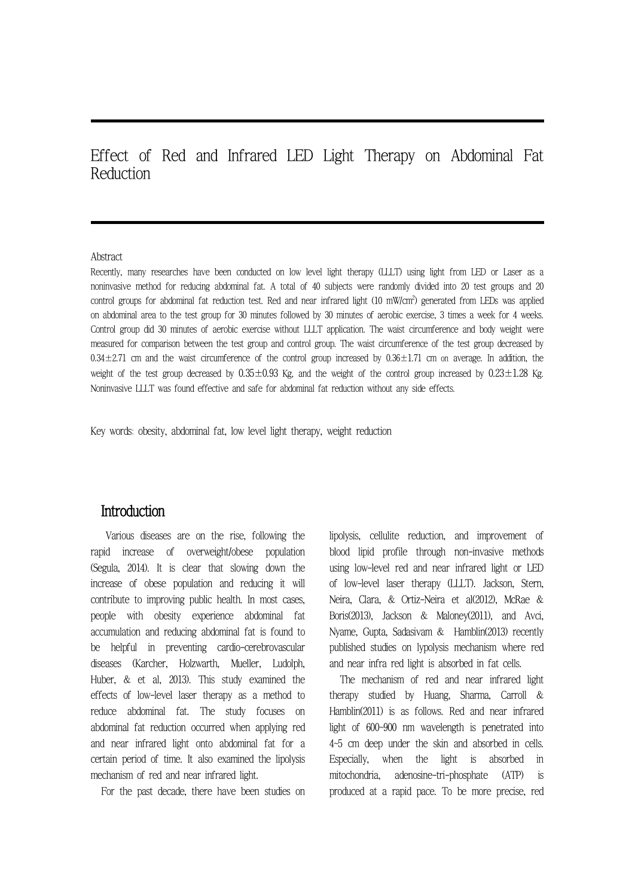Effect of Red and Infrared LED Light Therapy on Abdominal Fat Reduction

#### Abstract

Recently, many researches have been conducted on low level light therapy (LLLT) using light from LED or Laser as a noninvasive method for reducing abdominal fat. A total of 40 subjects were randomly divided into 20 test groups and 20 control groups for abdominal fat reduction test. Red and near infrared light  $(10\,$  mW/cm<sup>2</sup>) generated from LEDs was applied on abdominal area to the test group for 30 minutes followed by 30 minutes of aerobic exercise, 3 times a week for 4 weeks. Control group did 30 minutes of aerobic exercise without LLLT application. The waist circumference and body weight were measured for comparison between the test group and control group. The waist circumference of the test group decreased by  $0.34\pm2.71$  cm and the waist circumference of the control group increased by  $0.36\pm1.71$  cm on average. In addition, the weight of the test group decreased by  $0.35\pm0.93$  Kg, and the weight of the control group increased by  $0.23\pm1.28$  Kg. Noninvasive LLLT was found effective and safe for abdominal fat reduction without any side effects.

Key words: obesity, abdominal fat, low level light therapy, weight reduction

## **Introduction**

Various diseases are on the rise, following the rapid increase of overweight/obese population (Segula, 2014). It is clear that slowing down the increase of obese population and reducing it will contribute to improving public health. In most cases, people with obesity experience abdominal fat accumulation and reducing abdominal fat is found to be helpful in preventing cardio-cerebrovascular diseases (Karcher, Holzwarth, Mueller, Ludolph, Huber, & et al, 2013). This study examined the effects of low-level laser therapy as a method to reduce abdominal fat. The study focuses on abdominal fat reduction occurred when applying red and near infrared light onto abdominal fat for a certain period of time. It also examined the lipolysis mechanism of red and near infrared light.

For the past decade, there have been studies on

lipolysis, cellulite reduction, and improvement of blood lipid profile through non-invasive methods using low-level red and near infrared light or LED of low-level laser therapy (LLLT). Jackson, Stern, Neira, Clara, & Ortiz-Neira et al(2012), McRae & Boris(2013), Jackson & Maloney(2011), and Avci, Nyame, Gupta, Sadasivam & Hamblin(2013) recently published studies on lypolysis mechanism where red and near infra red light is absorbed in fat cells.

The mechanism of red and near infrared light therapy studied by Huang, Sharma, Carroll & Hamblin(2011) is as follows. Red and near infrared light of 600~900 nm wavelength is penetrated into 4~5 cm deep under the skin and absorbed in cells. when the light is absorbed in mitochondria, adenosine-tri-phosphate (ATP) is produced at a rapid pace. To be more precise, red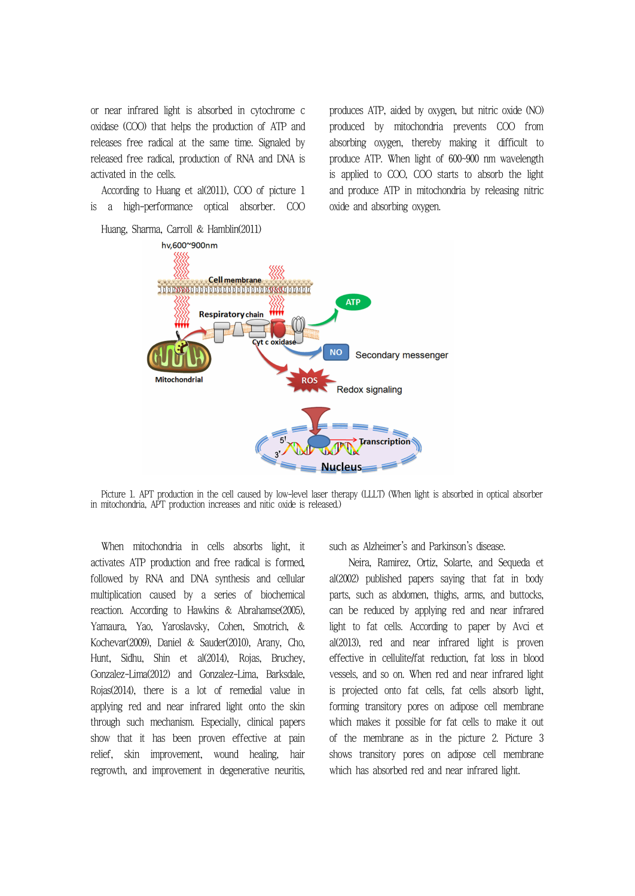or near infrared light is absorbed in cytochrome c oxidase (COO) that helps the production of ATP and releases free radical at the same time. Signaled by released free radical, production of RNA and DNA is activated in the cells.

According to Huang et al(2011), COO of picture 1 is a high-performance optical absorber. COO produces ATP, aided by oxygen, but nitric oxide (NO) produced by mitochondria prevents COO from absorbing oxygen, thereby making it difficult to produce ATP. When light of 600~900 nm wavelength is applied to COO, COO starts to absorb the light and produce ATP in mitochondria by releasing nitric oxide and absorbing oxygen.



Picture 1. APT production in the cell caused by low-level laser therapy (LLLT) (When light is absorbed in optical absorber in mitochondria, APT production increases and nitic oxide is released.)

When mitochondria in cells absorbs light, it such as Alzheimer's and Parkinson's disease. activates ATP production and free radical is formed, followed by RNA and DNA synthesis and cellular multiplication caused by a series of biochemical reaction. According to Hawkins & Abrahamse(2005), Yamaura, Yao, Yaroslavsky, Cohen, Smotrich, & Kochevar(2009), Daniel & Sauder(2010), Arany, Cho, Hunt, Sidhu, Shin et al(2014), Rojas, Bruchey, Gonzalez-Lima(2012) and Gonzalez-Lima, Barksdale, Rojas(2014), there is a lot of remedial value in applying red and near infrared light onto the skin through such mechanism. Especially, clinical papers show that it has been proven effective at pain relief, skin improvement, wound healing, hair regrowth, and improvement in degenerative neuritis,

Neira, Ramirez, Ortiz, Solarte, and Sequeda et al(2002) published papers saying that fat in body parts, such as abdomen, thighs, arms, and buttocks, can be reduced by applying red and near infrared light to fat cells. According to paper by Avci et al(2013), red and near infrared light is proven effective in cellulite/fat reduction, fat loss in blood vessels, and so on. When red and near infrared light is projected onto fat cells, fat cells absorb light, forming transitory pores on adipose cell membrane which makes it possible for fat cells to make it out of the membrane as in the picture 2. Picture 3 shows transitory pores on adipose cell membrane which has absorbed red and near infrared light.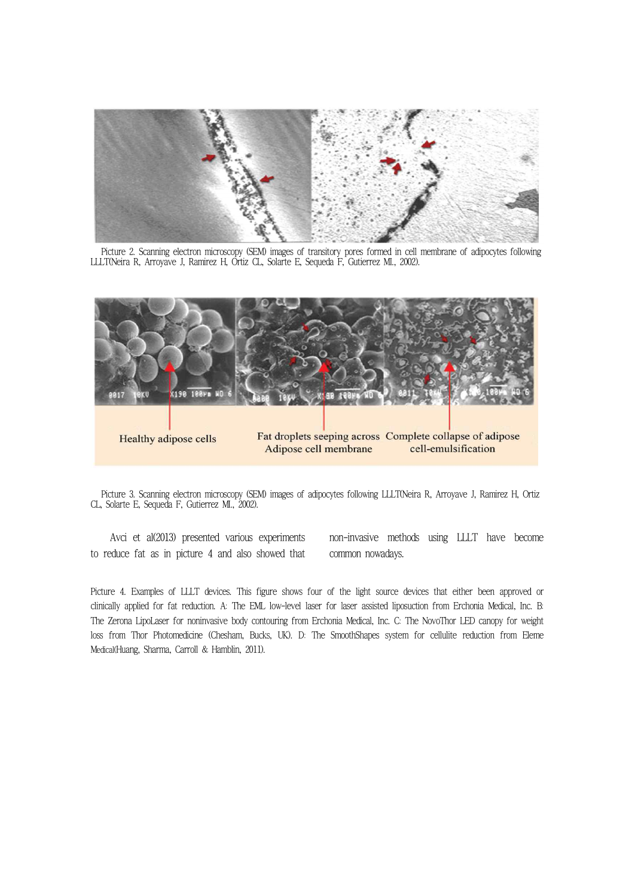

Picture 2. Scanning electron microscopy (SEM) images of transitory pores formed in cell membrane of adipocytes following LLLT(Neira R, Arroyave J, Ramirez H, Ortiz CL, Solarte E, Sequeda F, Gutierrez MI., 2002).



Picture 3. Scanning electron microscopy (SEM) images of adipocytes following LLLT(Neira R, Arroyave J, Ramirez H, Ortiz CL, Solarte E, Sequeda F, Gutierrez MI., 2002).

 Avci et al(2013) presented various experiments to reduce fat as in picture 4 and also showed that non-invasive methods using LLLT have become common nowadays.

Picture 4. Examples of LLLT devices. This figure shows four of the light source devices that either been approved or clinically applied for fat reduction. A: The EML low-level laser for laser assisted liposuction from Erchonia Medical, Inc. B: The Zerona LipoLaser for noninvasive body contouring from Erchonia Medical, Inc. C: The NovoThor LED canopy for weight loss from Thor Photomedicine (Chesham, Bucks, UK). D: The SmoothShapes system for cellulite reduction from Eleme Medical(Huang, Sharma, Carroll & Hamblin, 2011).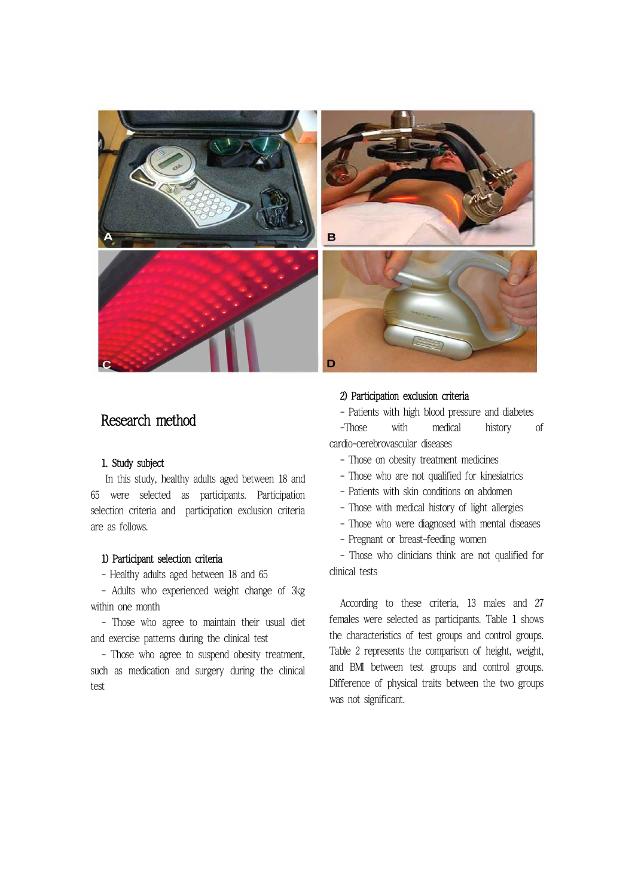

# Research method

### 1. Study subject

In this study, healthy adults aged between 18 and 65 were selected as participants. Participation selection criteria and participation exclusion criteria are as follows.

#### 1) Participant selection criteria

- Healthy adults aged between 18 and 65

- Adults who experienced weight change of 3kg within one month

- Those who agree to maintain their usual diet and exercise patterns during the clinical test

- Those who agree to suspend obesity treatment, such as medication and surgery during the clinical test

#### 2) Participation exclusion criteria

- Patients with high blood pressure and diabetes

-Those with medical history of cardio-cerebrovascular diseases

- Those on obesity treatment medicines
- Those who are not qualified for kinesiatrics
- Patients with skin conditions on abdomen
- Those with medical history of light allergies
- Those who were diagnosed with mental diseases
- Pregnant or breast-feeding women

- Those who clinicians think are not qualified for clinical tests

According to these criteria, 13 males and 27 females were selected as participants. Table 1 shows the characteristics of test groups and control groups. Table 2 represents the comparison of height, weight, and BMI between test groups and control groups. Difference of physical traits between the two groups was not significant.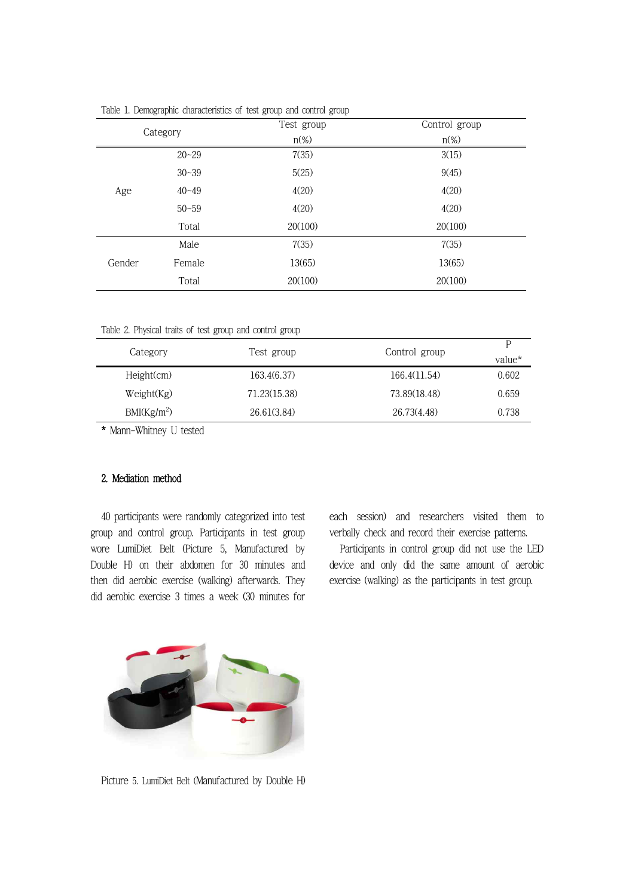| $\sim$ $\sim$ |           |            |               |
|---------------|-----------|------------|---------------|
| Category      |           | Test group | Control group |
|               |           | $n\%$      | $n\%$         |
|               | $20 - 29$ | 7(35)      | 3(15)         |
| Age           | $30 - 39$ | 5(25)      | 9(45)         |
|               | $40 - 49$ | 4(20)      | 4(20)         |
|               | $50 - 59$ | 4(20)      | 4(20)         |
|               | Total     | 20(100)    | 20(100)       |
| Gender        | Male      | 7(35)      | 7(35)         |
|               | Female    | 13(65)     | 13(65)        |
|               | Total     | 20(100)    | 20(100)       |

Table 1. Demographic characteristics of test group and control group

Table 2. Physical traits of test group and control group

| Category                | Test group   | Control group |        |
|-------------------------|--------------|---------------|--------|
|                         |              |               | value* |
| Height(cm)              | 163.4(6.37)  | 166.4(11.54)  | 0.602  |
| Weight(Kg)              | 71.23(15.38) | 73.89(18.48)  | 0.659  |
| BMI(Kg/m <sup>2</sup> ) | 26.61(3.84)  | 26.73(4.48)   | 0.738  |

\* Mann-Whitney U tested

### 2. Mediation method

40 participants were randomly categorized into test group and control group. Participants in test group wore LumiDiet Belt (Picture 5, Manufactured by Double H) on their abdomen for 30 minutes and then did aerobic exercise (walking) afterwards. They did aerobic exercise 3 times a week (30 minutes for

each session) and researchers visited them to verbally check and record their exercise patterns.

Participants in control group did not use the LED device and only did the same amount of aerobic exercise (walking) as the participants in test group.



Picture 5. LumiDiet Belt (Manufactured by Double H)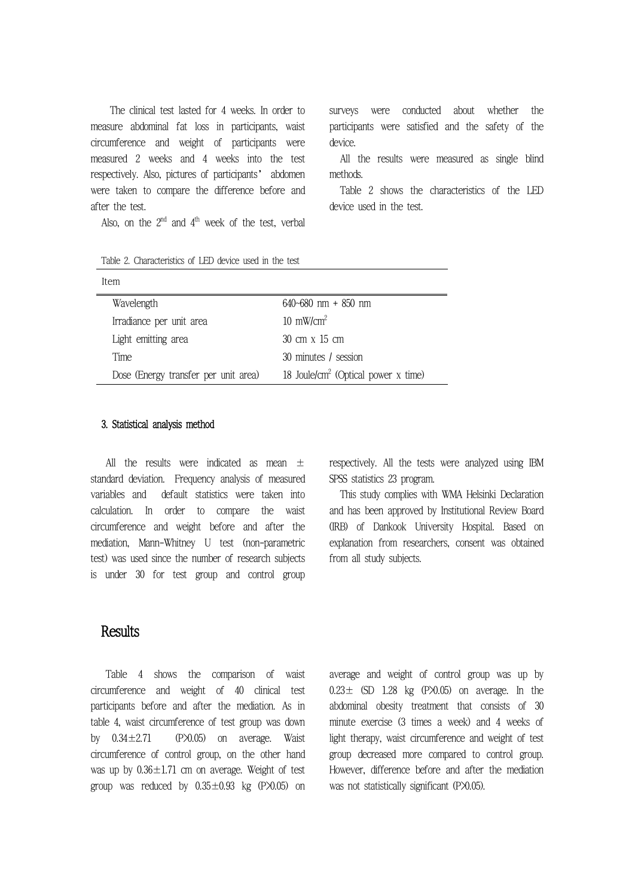The clinical test lasted for 4 weeks. In order to measure abdominal fat loss in participants, waist circumference and weight of participants were measured 2 weeks and 4 weeks into the test respectively. Also, pictures of participants' abdomen were taken to compare the difference before and after the test.

Also, on the  $2^{\rm nd}$  and  $4^{\rm th}$  week of the test, verbal

surveys were conducted about whether the participants were satisfied and the safety of the device.

All the results were measured as single blind methods.

Table 2 shows the characteristics of the LED device used in the test.

| Table 2. Characteristics of LED device used in the test |  |  |
|---------------------------------------------------------|--|--|
|---------------------------------------------------------|--|--|

| Item                                 |                                                   |
|--------------------------------------|---------------------------------------------------|
| Wavelength                           | $640 - 680$ nm + $850$ nm                         |
| Irradiance per unit area             | $10 \text{ mW/cm}^2$                              |
| Light emitting area                  | $30 \text{ cm} \times 15 \text{ cm}$              |
| Time                                 | 30 minutes / session                              |
| Dose (Energy transfer per unit area) | 18 Joule/cm <sup>2</sup> (Optical power $x$ time) |

#### 3. Statistical analysis method

All the results were indicated as mean  $\pm$ standard deviation. Frequency analysis of measured variables and default statistics were taken into calculation. In order to compare the waist circumference and weight before and after the mediation, Mann-Whitney U test (non-parametric test) was used since the number of research subjects is under 30 for test group and control group

respectively. All the tests were analyzed using IBM SPSS statistics 23 program.

This study complies with WMA Helsinki Declaration and has been approved by Institutional Review Board (IRB) of Dankook University Hospital. Based on explanation from researchers, consent was obtained from all study subjects.

### **Results**

Table 4 shows the comparison of waist circumference and weight of 40 clinical test participants before and after the mediation. As in table 4, waist circumference of test group was down by  $0.34 \pm 2.71$  (P $\times$ 0.05) on average. Waist circumference of control group, on the other hand was up by  $0.36 \pm 1.71$  cm on average. Weight of test group was reduced by  $0.35 \pm 0.93$  kg (P $\times$ 0.05) on

average and weight of control group was up by  $0.23 \pm$  (SD 1.28 kg (P $\times$ 0.05) on average. In the abdominal obesity treatment that consists of 30 minute exercise (3 times a week) and 4 weeks of light therapy, waist circumference and weight of test group decreased more compared to control group. However, difference before and after the mediation was not statistically significant (P $\times$ 0.05).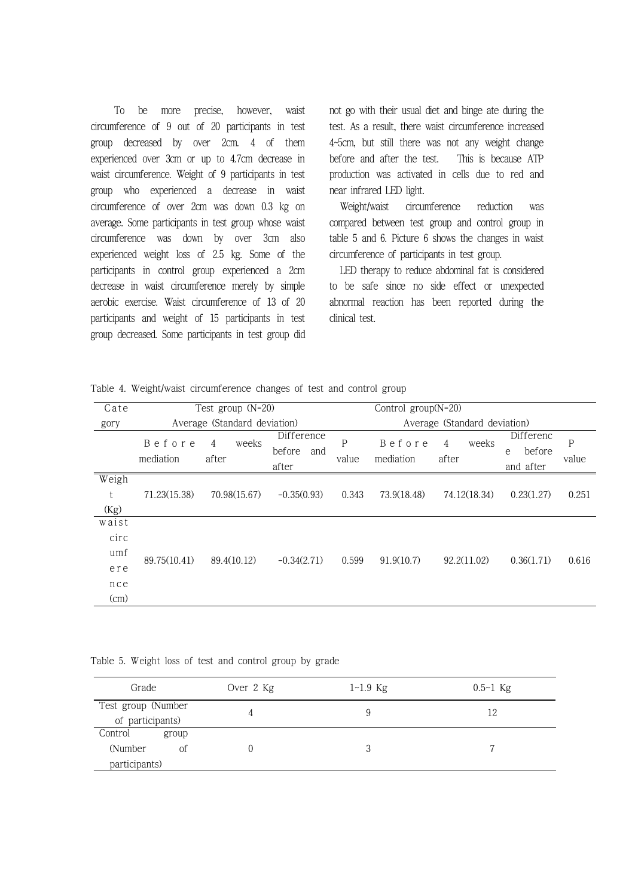To be more precise, however, waist circumference of 9 out of 20 participants in test group decreased by over 2cm. 4 of them experienced over 3cm or up to 4.7cm decrease in waist circumference. Weight of 9 participants in test group who experienced a decrease in waist circumference of over 2cm was down 0.3 kg on average. Some participants in test group whose waist circumference was down by over 3cm also experienced weight loss of 2.5 kg. Some of the participants in control group experienced a 2cm decrease in waist circumference merely by simple aerobic exercise. Waist circumference of 13 of 20 participants and weight of 15 participants in test group decreased. Some participants in test group did

not go with their usual diet and binge ate during the test. As a result, there waist circumference increased 4~5cm, but still there was not any weight change before and after the test. This is because ATP production was activated in cells due to red and near infrared LED light.

circumference reduction was compared between test group and control group in table 5 and 6. Picture 6 shows the changes in waist circumference of participants in test group.

LED therapy to reduce abdominal fat is considered to be safe since no side effect or unexpected abnormal reaction has been reported during the clinical test.

|  |  |  | Table 4. Weight/waist circumference changes of test and control group |  |  |  |  |  |  |  |
|--|--|--|-----------------------------------------------------------------------|--|--|--|--|--|--|--|
|--|--|--|-----------------------------------------------------------------------|--|--|--|--|--|--|--|

| Cate                                       |                     | Test group (N=20)            |                                      |            | Control $group(N=20)$ |                              |                                       |            |
|--------------------------------------------|---------------------|------------------------------|--------------------------------------|------------|-----------------------|------------------------------|---------------------------------------|------------|
| gory                                       |                     | Average (Standard deviation) |                                      |            |                       | Average (Standard deviation) |                                       |            |
|                                            | Before<br>mediation | weeks<br>4<br>after          | Difference<br>before<br>and<br>after | P<br>value | Before<br>mediation   | weeks<br>4<br>after          | Differenc<br>before<br>e<br>and after | P<br>value |
| Weigh<br>t<br>(Kg)                         | 71.23(15.38)        | 70.98(15.67)                 | $-0.35(0.93)$                        | 0.343      | 73.9(18.48)           | 74.12(18.34)                 | 0.23(1.27)                            | 0.251      |
| waist<br>circ<br>umf<br>ere<br>nce<br>(cm) | 89.75(10.41)        | 89.4(10.12)                  | $-0.34(2.71)$                        | 0.599      | 91.9(10.7)            | 92.2(11.02)                  | 0.36(1.71)                            | 0.616      |

Table 5. Weight loss of test and control group by grade

| Grade              |       | Over 2 Kg | $1 - 1.9$ Kg | $0.5 - 1$ Kg |  |
|--------------------|-------|-----------|--------------|--------------|--|
| Test group (Number |       |           | 9            | 12           |  |
| of participants)   |       |           |              |              |  |
| Control            | group |           |              |              |  |
| (Number)           | of    |           | 3            |              |  |
| participants)      |       |           |              |              |  |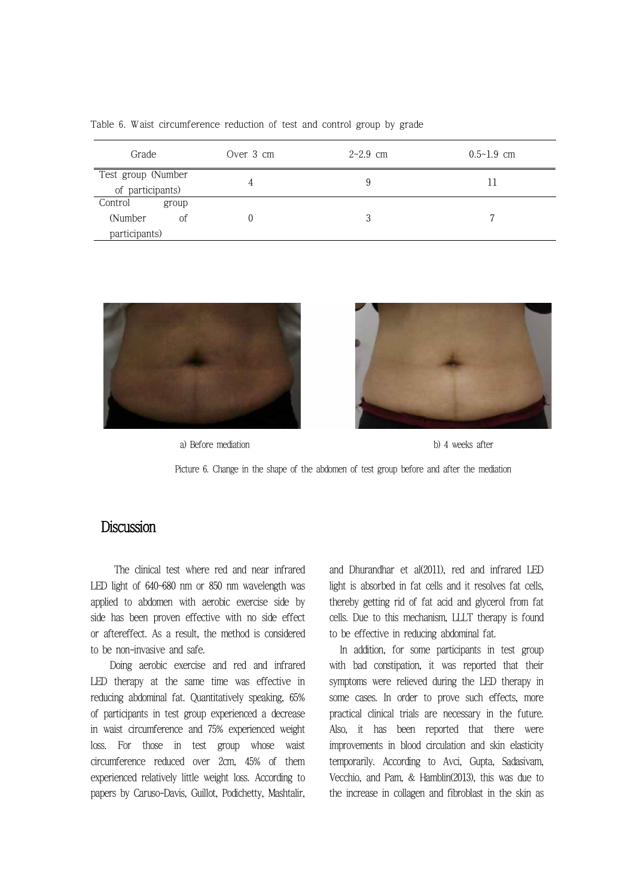| Grade                                  |       | Over 3 cm | $2 - 2.9$ cm | $0.5 - 1.9$ cm |
|----------------------------------------|-------|-----------|--------------|----------------|
| Test group (Number<br>of participants) |       |           | 9            |                |
| Control                                | group |           |              |                |
| (Number)                               | of    |           |              |                |
| participants)                          |       |           |              |                |

Table 6. Waist circumference reduction of test and control group by grade



a) Before mediation b) 4 weeks after



Picture 6. Change in the shape of the abdomen of test group before and after the mediation

## **Discussion**

 The clinical test where red and near infrared LED light of 640~680 nm or 850 nm wavelength was applied to abdomen with aerobic exercise side by side has been proven effective with no side effect or aftereffect. As a result, the method is considered to be non-invasive and safe. Doing aerobic exercise and red and infrared

LED therapy at the same time was effective in reducing abdominal fat. Quantitatively speaking, 65% of participants in test group experienced a decrease in waist circumference and 75% experienced weight loss. For those in test group whose waist circumference reduced over 2cm, 45% of them experienced relatively little weight loss. According to papers by Caruso-Davis, Guillot, Podichetty, Mashtalir, and Dhurandhar et al(2011), red and infrared LED light is absorbed in fat cells and it resolves fat cells, thereby getting rid of fat acid and glycerol from fat cells. Due to this mechanism, LLLT therapy is found to be effective in reducing abdominal fat.

In addition, for some participants in test group with bad constipation, it was reported that their symptoms were relieved during the LED therapy in some cases. In order to prove such effects, more practical clinical trials are necessary in the future. Also, it has been reported that there were improvements in blood circulation and skin elasticity temporarily. According to Avci, Gupta, Sadasivam, Vecchio, and Pam, & Hamblin(2013), this was due to the increase in collagen and fibroblast in the skin as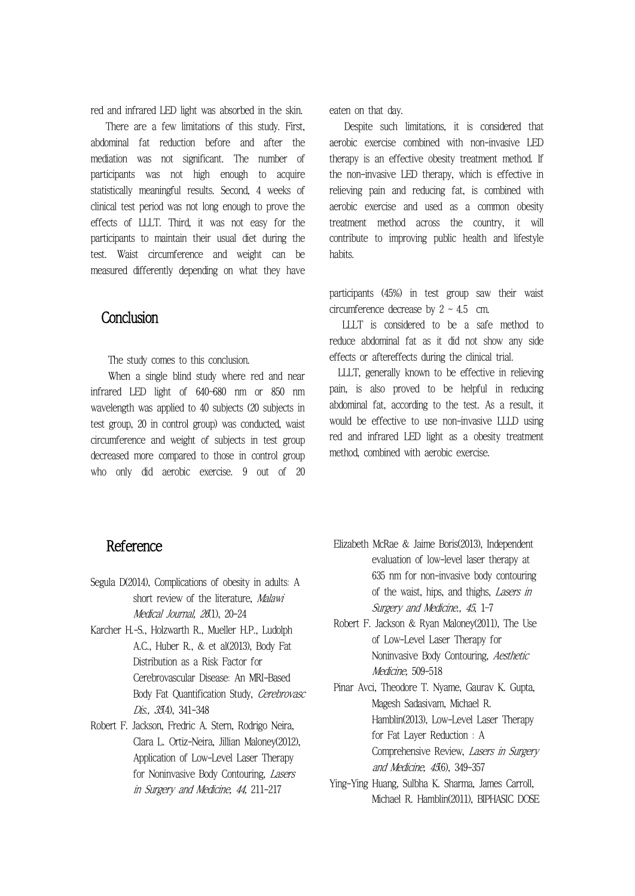red and infrared LED light was absorbed in the skin.

There are a few limitations of this study. First, abdominal fat reduction before and after the mediation was not significant. The number of participants was not high enough to acquire statistically meaningful results. Second, 4 weeks of clinical test period was not long enough to prove the effects of LLLT. Third, it was not easy for the participants to maintain their usual diet during the test. Waist circumference and weight can be measured differently depending on what they have

# **Conclusion**

infrared LED light of 640~680 nm or 850 nm wavelength was applied to 40 subjects (20 subjects in test group, 20 in control group) was conducted, waist circumference and weight of subjects in test group decreased more compared to those in control group who only did aerobic exercise. 9 out of 20 eaten on that day.

Despite such limitations, it is considered that aerobic exercise combined with non-invasive LED therapy is an effective obesity treatment method. If the non-invasive LED therapy, which is effective in relieving pain and reducing fat, is combined with aerobic exercise and used as a common obesity treatment method across the country, it will contribute to improving public health and lifestyle habits.

participants (45%) in test group saw their waist circumference decrease by  $2 \sim 4.5$  cm.

 LLLT is considered to be a safe method to reduce abdominal fat as it did not show any side

The study comes to this conclusion. The study comes to this conclusion. When a single blind study where red and near ULLT, generally known to be effective in r LLLT, generally known to be effective in relieving. pain, is also proved to be helpful in reducing abdominal fat, according to the test. As a result, it would be effective to use non-invasive LLLD using red and infrared LED light as a obesity treatment method, combined with aerobic exercise.

# Reference

- Segula D(2014), Complications of obesity in adults: A short review of the literature, Malawi Medical Journal, 26(1), 20-24
- Karcher H.-S., Holzwarth R., Mueller H.P., Ludolph A.C., Huber R., & et al(2013), Body Fat Distribution as a Risk Factor for Cerebrovascular Disease: An MRI-Based Body Fat Quantification Study, Cerebrovasc Dis., 35(4), 341-348
- Robert F. Jackson, Fredric A. Stern, Rodrigo Neira, Clara L. Ortiz-Neira, Jillian Maloney(2012), Application of Low-Level Laser Therapy for Noninvasive Body Contouring, Lasers in Surgery and Medicine, 44, 211-217
- Elizabeth McRae & Jaime Boris(2013), Independent evaluation of low-level laser therapy at 635 nm for non-invasive body contouring of the waist, hips, and thighs, Lasers in Surgery and Medicine., 45, 1–7
- Robert F. Jackson & Ryan Maloney(2011), The Use of Low-Level Laser Therapy for Noninvasive Body Contouring, Aesthetic Medicine, 509-518
- Pinar Avci, Theodore T. Nyame, Gaurav K. Gupta, Magesh Sadasivam, Michael R. Hamblin(2013), Low-Level Laser Therapy for Fat Layer Reduction : A Comprehensive Review, Lasers in Surgery and Medicine, 456), 349-357
- Ying-Ying Huang, Sulbha K. Sharma, James Carroll, Michael R. Hamblin(2011), BIPHASIC DOSE